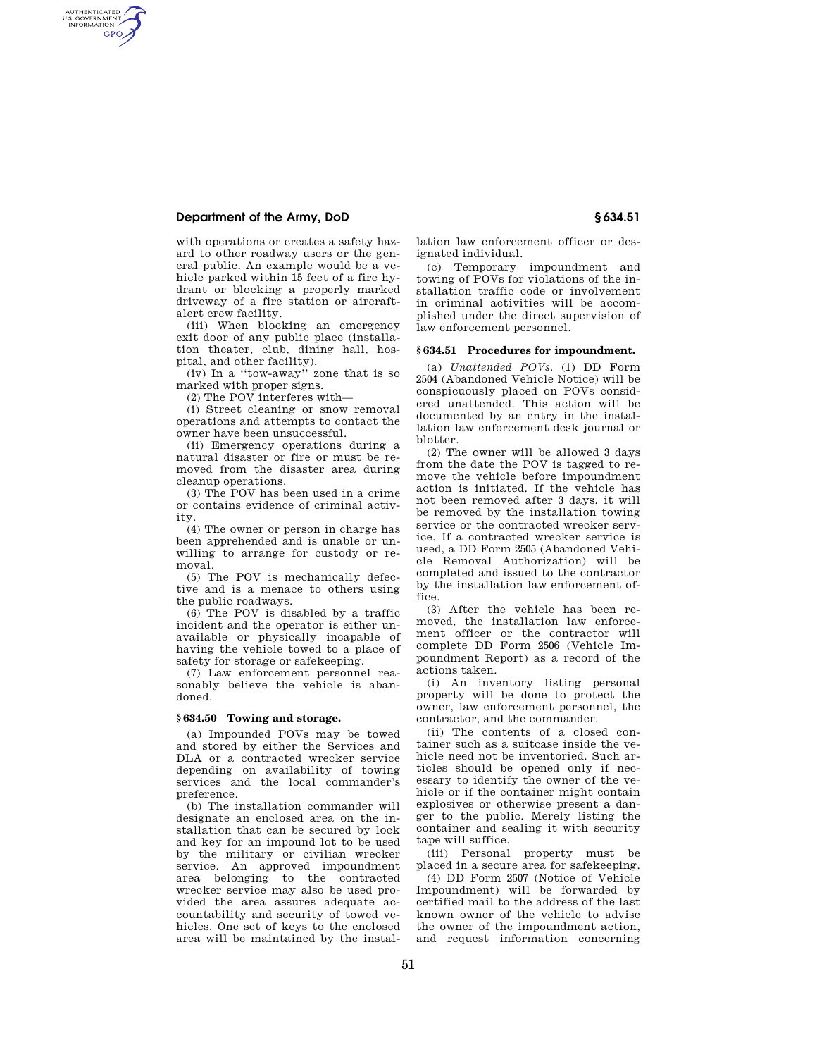# **Department of the Army, DoD § 634.51**

AUTHENTICATED<br>U.S. GOVERNMENT<br>INFORMATION **GPO** 

> with operations or creates a safety hazard to other roadway users or the general public. An example would be a vehicle parked within 15 feet of a fire hydrant or blocking a properly marked driveway of a fire station or aircraftalert crew facility.

> (iii) When blocking an emergency exit door of any public place (installation theater, club, dining hall, hospital, and other facility).

> (iv) In a ''tow-away'' zone that is so marked with proper signs.

(2) The POV interferes with—

(i) Street cleaning or snow removal operations and attempts to contact the owner have been unsuccessful.

(ii) Emergency operations during a natural disaster or fire or must be removed from the disaster area during cleanup operations.

(3) The POV has been used in a crime or contains evidence of criminal activity.

(4) The owner or person in charge has been apprehended and is unable or unwilling to arrange for custody or removal.

(5) The POV is mechanically defective and is a menace to others using the public roadways.

(6) The POV is disabled by a traffic incident and the operator is either unavailable or physically incapable of having the vehicle towed to a place of safety for storage or safekeeping.

(7) Law enforcement personnel reasonably believe the vehicle is abandoned.

## **§ 634.50 Towing and storage.**

(a) Impounded POVs may be towed and stored by either the Services and DLA or a contracted wrecker service depending on availability of towing services and the local commander's preference.

(b) The installation commander will designate an enclosed area on the installation that can be secured by lock and key for an impound lot to be used by the military or civilian wrecker service. An approved impoundment area belonging to the contracted wrecker service may also be used provided the area assures adequate accountability and security of towed vehicles. One set of keys to the enclosed area will be maintained by the installation law enforcement officer or designated individual.

(c) Temporary impoundment and towing of POVs for violations of the installation traffic code or involvement in criminal activities will be accomplished under the direct supervision of law enforcement personnel.

#### **§ 634.51 Procedures for impoundment.**

(a) *Unattended POVs.* (1) DD Form 2504 (Abandoned Vehicle Notice) will be conspicuously placed on POVs considered unattended. This action will be documented by an entry in the installation law enforcement desk journal or blotter.

(2) The owner will be allowed 3 days from the date the POV is tagged to remove the vehicle before impoundment action is initiated. If the vehicle has not been removed after 3 days, it will be removed by the installation towing service or the contracted wrecker service. If a contracted wrecker service is used, a DD Form 2505 (Abandoned Vehicle Removal Authorization) will be completed and issued to the contractor by the installation law enforcement office.

(3) After the vehicle has been removed, the installation law enforcement officer or the contractor will complete DD Form 2506 (Vehicle Impoundment Report) as a record of the actions taken.

(i) An inventory listing personal property will be done to protect the owner, law enforcement personnel, the contractor, and the commander.

(ii) The contents of a closed container such as a suitcase inside the vehicle need not be inventoried. Such articles should be opened only if necessary to identify the owner of the vehicle or if the container might contain explosives or otherwise present a danger to the public. Merely listing the container and sealing it with security tape will suffice.

(iii) Personal property must be placed in a secure area for safekeeping.

(4) DD Form 2507 (Notice of Vehicle Impoundment) will be forwarded by certified mail to the address of the last known owner of the vehicle to advise the owner of the impoundment action, and request information concerning